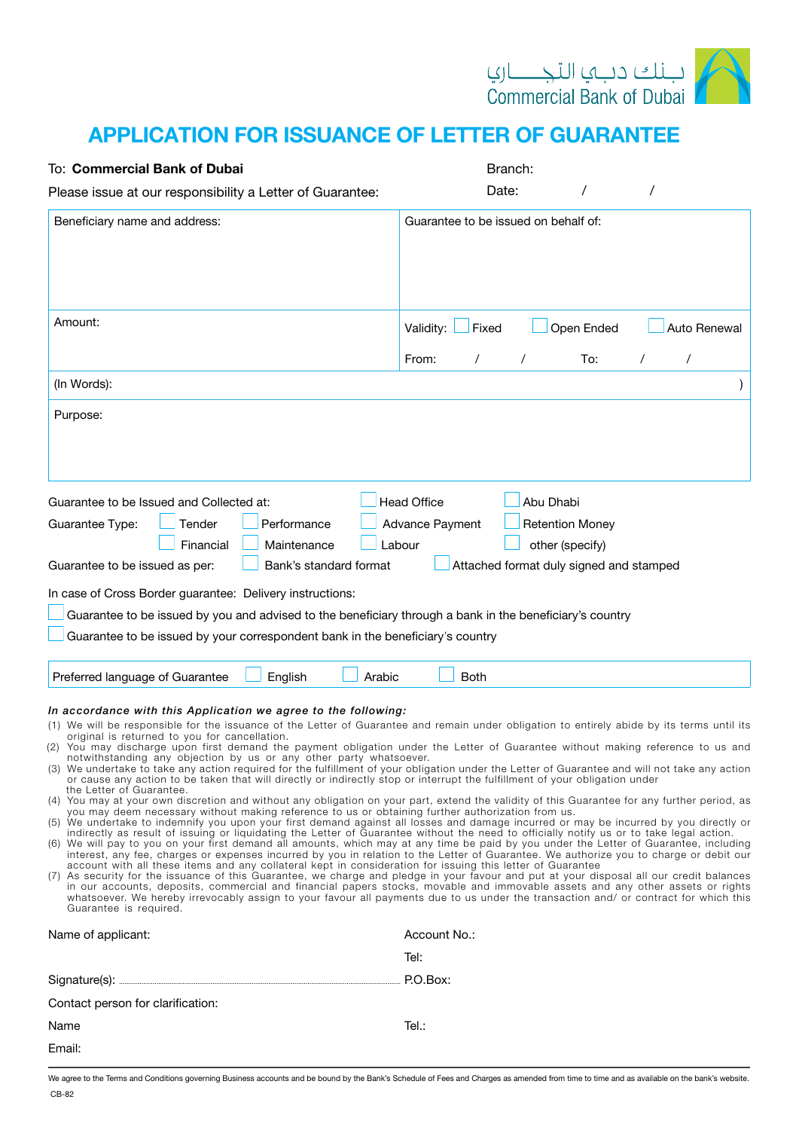

## APPLICATION FOR ISSUANCE OF LETTER OF GUARANTEE

| To: Commercial Bank of Dubai                                                                                                                                                                                                                                                                                                                                                                                                                                                                                                                                                                                                                                                                                                                                                                                                                                                                                                                                                                                                                                                                                                                                                                                                                                                                                                                                                                                                                                                                                                                                                                                                                                                                                                                                                                                                                                                                                                                                                                                                                                                                                                                                                     | Branch:                                                                                                                                              |
|----------------------------------------------------------------------------------------------------------------------------------------------------------------------------------------------------------------------------------------------------------------------------------------------------------------------------------------------------------------------------------------------------------------------------------------------------------------------------------------------------------------------------------------------------------------------------------------------------------------------------------------------------------------------------------------------------------------------------------------------------------------------------------------------------------------------------------------------------------------------------------------------------------------------------------------------------------------------------------------------------------------------------------------------------------------------------------------------------------------------------------------------------------------------------------------------------------------------------------------------------------------------------------------------------------------------------------------------------------------------------------------------------------------------------------------------------------------------------------------------------------------------------------------------------------------------------------------------------------------------------------------------------------------------------------------------------------------------------------------------------------------------------------------------------------------------------------------------------------------------------------------------------------------------------------------------------------------------------------------------------------------------------------------------------------------------------------------------------------------------------------------------------------------------------------|------------------------------------------------------------------------------------------------------------------------------------------------------|
| Please issue at our responsibility a Letter of Guarantee:                                                                                                                                                                                                                                                                                                                                                                                                                                                                                                                                                                                                                                                                                                                                                                                                                                                                                                                                                                                                                                                                                                                                                                                                                                                                                                                                                                                                                                                                                                                                                                                                                                                                                                                                                                                                                                                                                                                                                                                                                                                                                                                        | Date:<br>$\prime$                                                                                                                                    |
| Beneficiary name and address:                                                                                                                                                                                                                                                                                                                                                                                                                                                                                                                                                                                                                                                                                                                                                                                                                                                                                                                                                                                                                                                                                                                                                                                                                                                                                                                                                                                                                                                                                                                                                                                                                                                                                                                                                                                                                                                                                                                                                                                                                                                                                                                                                    | Guarantee to be issued on behalf of:                                                                                                                 |
| Amount:                                                                                                                                                                                                                                                                                                                                                                                                                                                                                                                                                                                                                                                                                                                                                                                                                                                                                                                                                                                                                                                                                                                                                                                                                                                                                                                                                                                                                                                                                                                                                                                                                                                                                                                                                                                                                                                                                                                                                                                                                                                                                                                                                                          | Open Ended<br>Auto Renewal<br>Validity:<br>Fixed<br>To:<br>Τ<br>From:<br>$\prime$<br>$\prime$<br>$\prime$                                            |
| (In Words):                                                                                                                                                                                                                                                                                                                                                                                                                                                                                                                                                                                                                                                                                                                                                                                                                                                                                                                                                                                                                                                                                                                                                                                                                                                                                                                                                                                                                                                                                                                                                                                                                                                                                                                                                                                                                                                                                                                                                                                                                                                                                                                                                                      |                                                                                                                                                      |
| Purpose:                                                                                                                                                                                                                                                                                                                                                                                                                                                                                                                                                                                                                                                                                                                                                                                                                                                                                                                                                                                                                                                                                                                                                                                                                                                                                                                                                                                                                                                                                                                                                                                                                                                                                                                                                                                                                                                                                                                                                                                                                                                                                                                                                                         |                                                                                                                                                      |
| Guarantee to be Issued and Collected at:<br>Tender<br>Performance<br>Guarantee Type:<br>Financial<br>Maintenance<br>Guarantee to be issued as per:<br>Bank's standard format<br>In case of Cross Border guarantee: Delivery instructions:<br>Guarantee to be issued by you and advised to the beneficiary through a bank in the beneficiary's country<br>Guarantee to be issued by your correspondent bank in the beneficiary's country                                                                                                                                                                                                                                                                                                                                                                                                                                                                                                                                                                                                                                                                                                                                                                                                                                                                                                                                                                                                                                                                                                                                                                                                                                                                                                                                                                                                                                                                                                                                                                                                                                                                                                                                          | <b>Head Office</b><br>Abu Dhabi<br>Advance Payment<br><b>Retention Money</b><br>Labour<br>other (specify)<br>Attached format duly signed and stamped |
| Preferred language of Guarantee<br>English<br>Arabic                                                                                                                                                                                                                                                                                                                                                                                                                                                                                                                                                                                                                                                                                                                                                                                                                                                                                                                                                                                                                                                                                                                                                                                                                                                                                                                                                                                                                                                                                                                                                                                                                                                                                                                                                                                                                                                                                                                                                                                                                                                                                                                             | <b>Both</b>                                                                                                                                          |
| In accordance with this Application we agree to the following:<br>(1) We will be responsible for the issuance of the Letter of Guarantee and remain under obligation to entirely abide by its terms until its<br>original is returned to you for cancellation.<br>(2) You may discharge upon first demand the payment obligation under the Letter of Guarantee without making reference to us and<br>notwithstanding any objection by us or any other party whatsoever.<br>(3) We undertake to take any action required for the fulfillment of your obligation under the Letter of Guarantee and will not take any action<br>or cause any action to be taken that will directly or indirectly stop or interrupt the fulfillment of your obligation under<br>the Letter of Guarantee.<br>(4) You may at your own discretion and without any obligation on your part, extend the validity of this Guarantee for any further period, as<br>you may deem necessary without making reference to us or obtaining further authorization from us.<br>(5) We undertake to indemnify you upon your first demand against all losses and damage incurred or may be incurred by you directly or<br>indirectly as result of issuing or liquidating the Letter of Guarantee without the need to officially notify us or to take legal action.<br>(6) We will pay to you on your first demand all amounts, which may at any time be paid by you under the Letter of Guarantee, including<br>interest, any fee, charges or expenses incurred by you in relation to the Letter of Guarantee. We authorize you to charge or debit our<br>account with all these items and any collateral kept in consideration for issuing this letter of Guarantee<br>(7) As security for the issuance of this Guarantee, we charge and pledge in your favour and put at your disposal all our credit balances<br>in our accounts, deposits, commercial and financial papers stocks, movable and immovable assets and any other assets or rights<br>whatsoever. We hereby irrevocably assign to your favour all payments due to us under the transaction and/ or contract for which this<br>Guarantee is required. |                                                                                                                                                      |
| Name of applicant:                                                                                                                                                                                                                                                                                                                                                                                                                                                                                                                                                                                                                                                                                                                                                                                                                                                                                                                                                                                                                                                                                                                                                                                                                                                                                                                                                                                                                                                                                                                                                                                                                                                                                                                                                                                                                                                                                                                                                                                                                                                                                                                                                               | Account No.:                                                                                                                                         |
|                                                                                                                                                                                                                                                                                                                                                                                                                                                                                                                                                                                                                                                                                                                                                                                                                                                                                                                                                                                                                                                                                                                                                                                                                                                                                                                                                                                                                                                                                                                                                                                                                                                                                                                                                                                                                                                                                                                                                                                                                                                                                                                                                                                  | Tel:                                                                                                                                                 |
|                                                                                                                                                                                                                                                                                                                                                                                                                                                                                                                                                                                                                                                                                                                                                                                                                                                                                                                                                                                                                                                                                                                                                                                                                                                                                                                                                                                                                                                                                                                                                                                                                                                                                                                                                                                                                                                                                                                                                                                                                                                                                                                                                                                  |                                                                                                                                                      |
| Contact person for clarification:                                                                                                                                                                                                                                                                                                                                                                                                                                                                                                                                                                                                                                                                                                                                                                                                                                                                                                                                                                                                                                                                                                                                                                                                                                                                                                                                                                                                                                                                                                                                                                                                                                                                                                                                                                                                                                                                                                                                                                                                                                                                                                                                                |                                                                                                                                                      |
| Name                                                                                                                                                                                                                                                                                                                                                                                                                                                                                                                                                                                                                                                                                                                                                                                                                                                                                                                                                                                                                                                                                                                                                                                                                                                                                                                                                                                                                                                                                                                                                                                                                                                                                                                                                                                                                                                                                                                                                                                                                                                                                                                                                                             | Tel.:                                                                                                                                                |
| Email:                                                                                                                                                                                                                                                                                                                                                                                                                                                                                                                                                                                                                                                                                                                                                                                                                                                                                                                                                                                                                                                                                                                                                                                                                                                                                                                                                                                                                                                                                                                                                                                                                                                                                                                                                                                                                                                                                                                                                                                                                                                                                                                                                                           |                                                                                                                                                      |

We agree to the Terms and Conditions governing Business accounts and be bound by the Bank's Schedule of Fees and Charges as amended from time to time and as available on the bank's website. CB-82